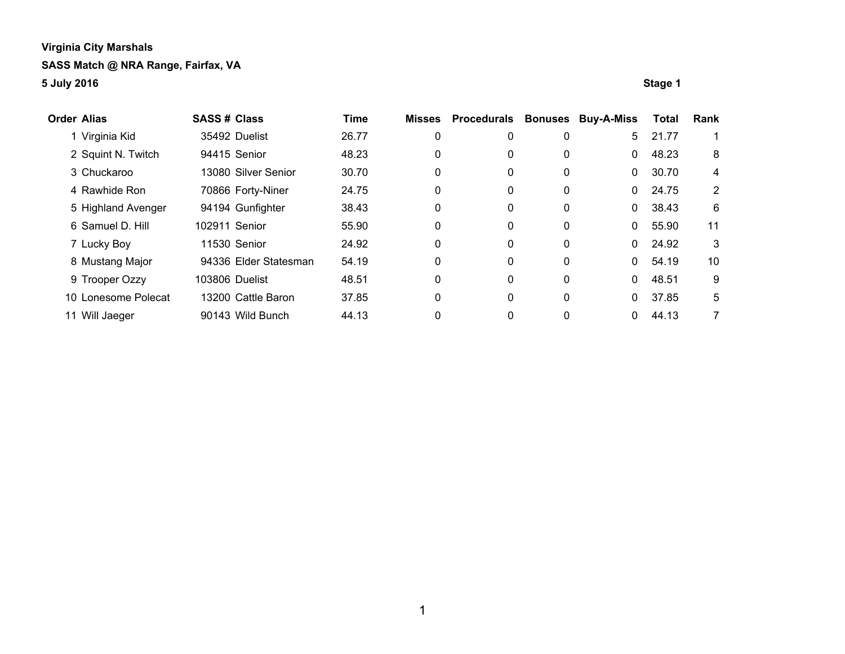| <b>Order Alias</b> |                     | <b>SASS # Class</b> |                       | <b>Time</b> | <b>Misses</b> | Procedurals | <b>Bonuses</b> | <b>Buy-A-Miss</b> | <b>Total</b> | Rank |
|--------------------|---------------------|---------------------|-----------------------|-------------|---------------|-------------|----------------|-------------------|--------------|------|
|                    | 1 Virginia Kid      |                     | 35492 Duelist         | 26.77       | 0             | 0           | 0              | 5                 | 21.77        |      |
|                    | 2 Squint N. Twitch  |                     | 94415 Senior          | 48.23       | 0             | 0           | $\mathbf 0$    | 0                 | 48.23        | 8    |
|                    | 3 Chuckaroo         |                     | 13080 Silver Senior   | 30.70       | 0             | 0           | 0              | 0                 | 30.70        | 4    |
|                    | 4 Rawhide Ron       |                     | 70866 Forty-Niner     | 24.75       | 0             | 0           | 0              | 0                 | 24.75        | 2    |
|                    | 5 Highland Avenger  |                     | 94194 Gunfighter      | 38.43       | 0             | 0           | 0              | 0                 | 38.43        | 6    |
|                    | 6 Samuel D. Hill    | 102911 Senior       |                       | 55.90       | 0             | 0           | 0              | 0                 | 55.90        | 11   |
|                    | 7 Lucky Boy         |                     | 11530 Senior          | 24.92       | 0             | 0           | 0              | 0                 | 24.92        | 3    |
|                    | 8 Mustang Major     |                     | 94336 Elder Statesman | 54.19       | 0             | 0           | $\mathbf 0$    | 0                 | 54.19        | 10   |
|                    | 9 Trooper Ozzy      | 103806 Duelist      |                       | 48.51       | 0             | 0           | 0              | 0                 | 48.51        | 9    |
|                    | 10 Lonesome Polecat |                     | 13200 Cattle Baron    | 37.85       | 0             | 0           | 0              | 0                 | 37.85        | 5    |
|                    | 11 Will Jaeger      |                     | 90143 Wild Bunch      | 44.13       | 0             | 0           | 0              | $\Omega$          | 44.13        | 7    |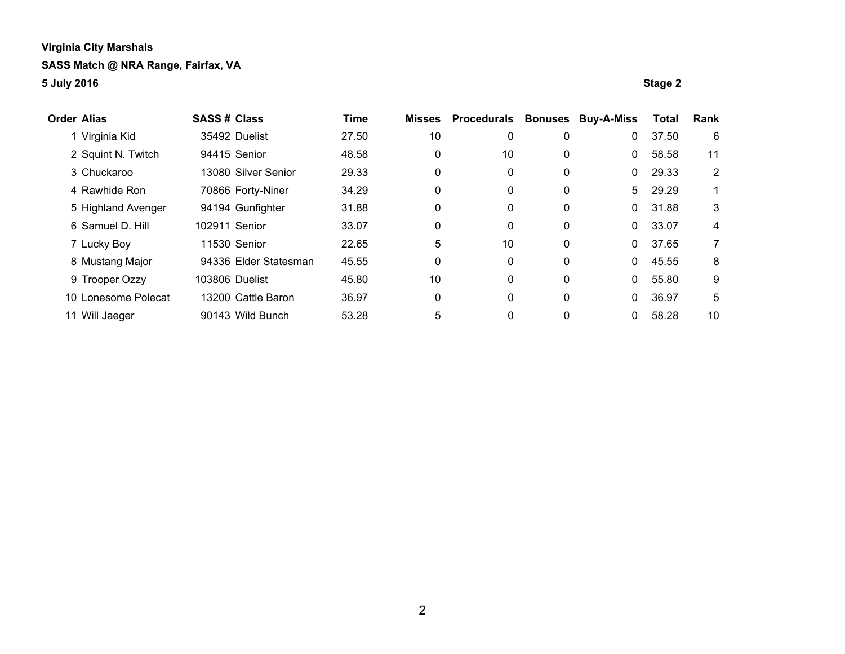| <b>Order Alias</b> |                     | <b>SASS# Class</b> |                       | <b>Time</b> | <b>Misses</b> | Procedurals | <b>Bonuses</b> | <b>Buy-A-Miss</b> | <b>Total</b> | Rank |
|--------------------|---------------------|--------------------|-----------------------|-------------|---------------|-------------|----------------|-------------------|--------------|------|
|                    | 1 Virginia Kid      |                    | 35492 Duelist         | 27.50       | 10            | 0           | 0              | 0                 | 37.50        | 6    |
|                    | 2 Squint N. Twitch  |                    | 94415 Senior          | 48.58       | 0             | 10          | $\mathbf 0$    | 0                 | 58.58        | 11   |
|                    | 3 Chuckaroo         |                    | 13080 Silver Senior   | 29.33       | 0             | 0           | 0              | 0                 | 29.33        | 2    |
|                    | 4 Rawhide Ron       |                    | 70866 Forty-Niner     | 34.29       | 0             | 0           | 0              | 5                 | 29.29        |      |
|                    | 5 Highland Avenger  |                    | 94194 Gunfighter      | 31.88       | 0             | 0           | 0              | $\Omega$          | 31.88        | 3    |
|                    | 6 Samuel D. Hill    | 102911 Senior      |                       | 33.07       | 0             | 0           | 0              | 0                 | 33.07        | 4    |
|                    | 7 Lucky Boy         |                    | 11530 Senior          | 22.65       | 5             | 10          | 0              | 0                 | 37.65        | 7    |
|                    | 8 Mustang Major     |                    | 94336 Elder Statesman | 45.55       | 0             | 0           | $\mathbf 0$    | 0                 | 45.55        | 8    |
|                    | 9 Trooper Ozzy      |                    | 103806 Duelist        | 45.80       | 10            | 0           | $\mathbf 0$    | 0                 | 55.80        | 9    |
|                    | 10 Lonesome Polecat |                    | 13200 Cattle Baron    | 36.97       | 0             | 0           | $\mathbf 0$    | 0                 | 36.97        | 5    |
| 11                 | Will Jaeger         |                    | 90143 Wild Bunch      | 53.28       | 5             | 0           | 0              | 0                 | 58.28        | 10   |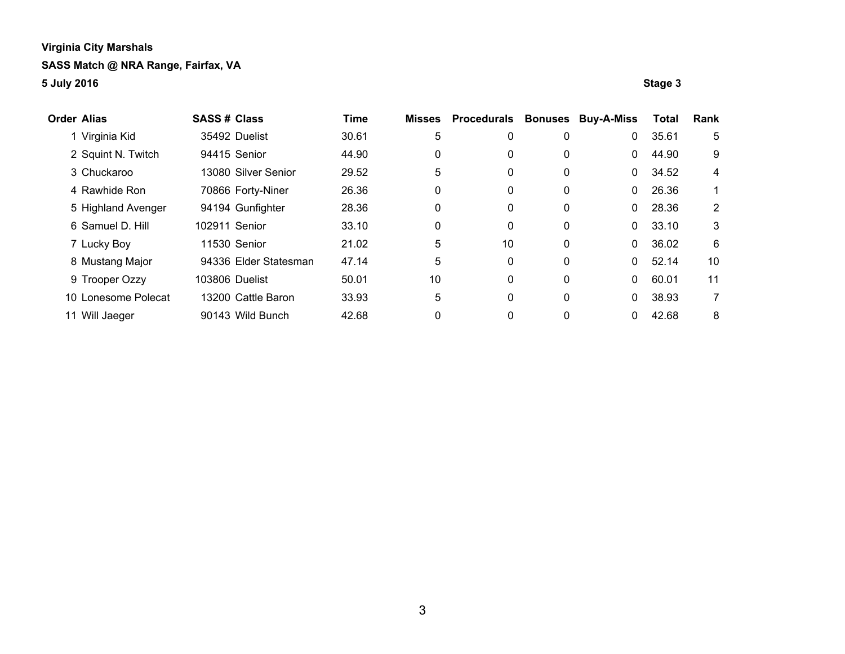| <b>Order Alias</b> |                     | <b>SASS# Class</b> |                       | Time  | <b>Misses</b> | Procedurals Bonuses Buy-A-Miss |   |              | <b>Total</b> | Rank |
|--------------------|---------------------|--------------------|-----------------------|-------|---------------|--------------------------------|---|--------------|--------------|------|
|                    | 1 Virginia Kid      |                    | 35492 Duelist         | 30.61 | 5             | 0                              | 0 | 0            | 35.61        | 5    |
|                    | 2 Squint N. Twitch  |                    | 94415 Senior          | 44.90 | 0             | 0                              | 0 | $\Omega$     | 44.90        | 9    |
|                    | 3 Chuckaroo         |                    | 13080 Silver Senior   | 29.52 | 5             | 0                              | 0 | $\mathbf{0}$ | 34.52        | 4    |
|                    | 4 Rawhide Ron       |                    | 70866 Forty-Niner     | 26.36 | 0             | 0                              | 0 | $\Omega$     | 26.36        |      |
|                    | 5 Highland Avenger  |                    | 94194 Gunfighter      | 28.36 | 0             | 0                              | 0 | $\Omega$     | 28.36        | 2    |
|                    | 6 Samuel D. Hill    | 102911 Senior      |                       | 33.10 | 0             | 0                              | 0 | $\mathbf{0}$ | 33.10        | 3    |
|                    | 7 Lucky Boy         |                    | 11530 Senior          | 21.02 | 5             | 10                             | 0 | $\mathbf{0}$ | 36.02        | 6    |
|                    | 8 Mustang Major     |                    | 94336 Elder Statesman | 47.14 | 5             | 0                              | 0 | $\Omega$     | 52.14        | 10   |
|                    | 9 Trooper Ozzy      |                    | 103806 Duelist        | 50.01 | 10            | 0                              | 0 | $\mathbf{0}$ | 60.01        | 11   |
|                    | 10 Lonesome Polecat |                    | 13200 Cattle Baron    | 33.93 | 5             | 0                              | 0 | $\Omega$     | 38.93        | 7    |
|                    | 11 Will Jaeger      |                    | 90143 Wild Bunch      | 42.68 | 0             | 0                              | 0 | $\Omega$     | 42.68        | 8    |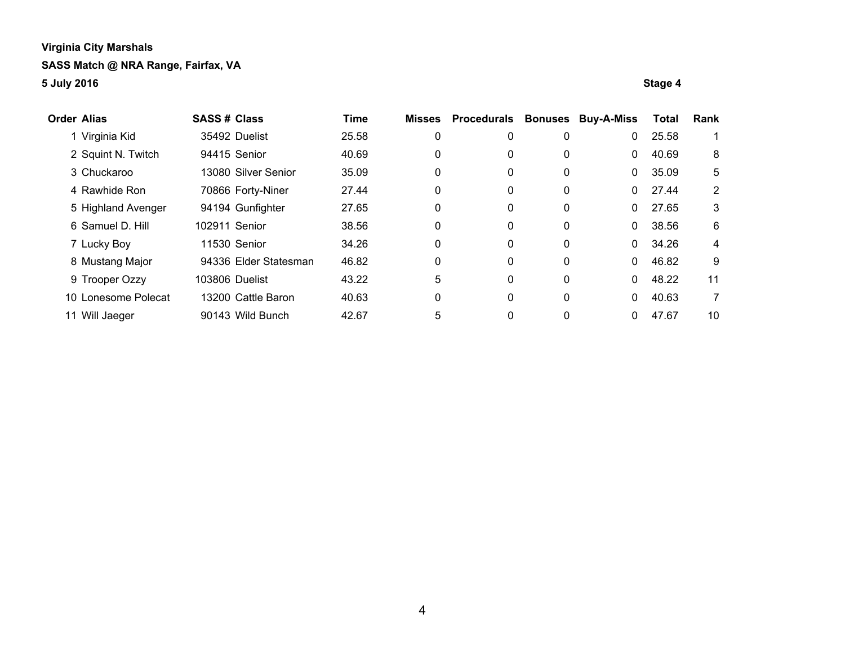| <b>Order Alias</b> |                     | <b>SASS # Class</b> |                       | Time  | Misses | <b>Procedurals Bonuses</b> |              | <b>Buy-A-Miss</b> | Total | Rank           |
|--------------------|---------------------|---------------------|-----------------------|-------|--------|----------------------------|--------------|-------------------|-------|----------------|
|                    | 1 Virginia Kid      |                     | 35492 Duelist         | 25.58 | 0      | 0                          | 0            | 0                 | 25.58 |                |
|                    | 2 Squint N. Twitch  |                     | 94415 Senior          | 40.69 | 0      | 0                          | 0            | $\mathbf{0}$      | 40.69 | 8              |
|                    | 3 Chuckaroo         |                     | 13080 Silver Senior   | 35.09 | 0      | 0                          | 0            | $\mathbf{0}$      | 35.09 | 5              |
|                    | 4 Rawhide Ron       |                     | 70866 Forty-Niner     | 27.44 | 0      | 0                          | 0            | $\mathbf{0}$      | 27.44 | $\overline{2}$ |
|                    | 5 Highland Avenger  |                     | 94194 Gunfighter      | 27.65 | 0      | 0                          | 0            | $\mathbf{0}$      | 27.65 | 3              |
|                    | 6 Samuel D. Hill    | 102911 Senior       |                       | 38.56 | 0      | 0                          | 0            | $\mathbf{0}$      | 38.56 | 6              |
|                    | 7 Lucky Boy         |                     | 11530 Senior          | 34.26 | 0      | 0                          | 0            | $\mathbf{0}$      | 34.26 | 4              |
|                    | 8 Mustang Major     |                     | 94336 Elder Statesman | 46.82 | 0      | 0                          | $\mathbf{0}$ | $\Omega$          | 46.82 | 9              |
|                    | 9 Trooper Ozzy      |                     | 103806 Duelist        | 43.22 | 5      | 0                          | 0            | $\mathbf{0}$      | 48.22 | 11             |
|                    | 10 Lonesome Polecat |                     | 13200 Cattle Baron    | 40.63 | 0      | 0                          | 0            | $\Omega$          | 40.63 | 7              |
|                    | 11 Will Jaeger      |                     | 90143 Wild Bunch      | 42.67 | 5      | 0                          | 0            | $\Omega$          | 47.67 | 10             |